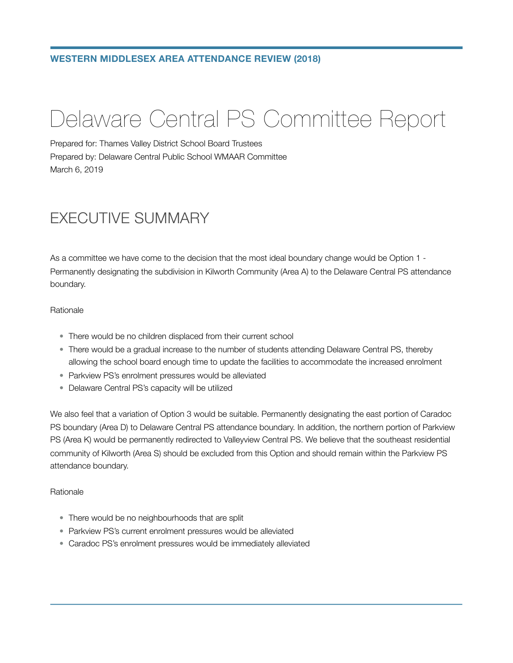# Delaware Central PS Committee Report

Prepared for: Thames Valley District School Board Trustees Prepared by: Delaware Central Public School WMAAR Committee March 6, 2019

# EXECUTIVE SUMMARY

As a committee we have come to the decision that the most ideal boundary change would be Option 1 - Permanently designating the subdivision in Kilworth Community (Area A) to the Delaware Central PS attendance boundary.

#### Rationale

- There would be no children displaced from their current school
- There would be a gradual increase to the number of students attending Delaware Central PS, thereby allowing the school board enough time to update the facilities to accommodate the increased enrolment
- Parkview PS's enrolment pressures would be alleviated
- Delaware Central PS's capacity will be utilized

We also feel that a variation of Option 3 would be suitable. Permanently designating the east portion of Caradoc PS boundary (Area D) to Delaware Central PS attendance boundary. In addition, the northern portion of Parkview PS (Area K) would be permanently redirected to Valleyview Central PS. We believe that the southeast residential community of Kilworth (Area S) should be excluded from this Option and should remain within the Parkview PS attendance boundary.

#### Rationale

- There would be no neighbourhoods that are split
- Parkview PS's current enrolment pressures would be alleviated
- Caradoc PS's enrolment pressures would be immediately alleviated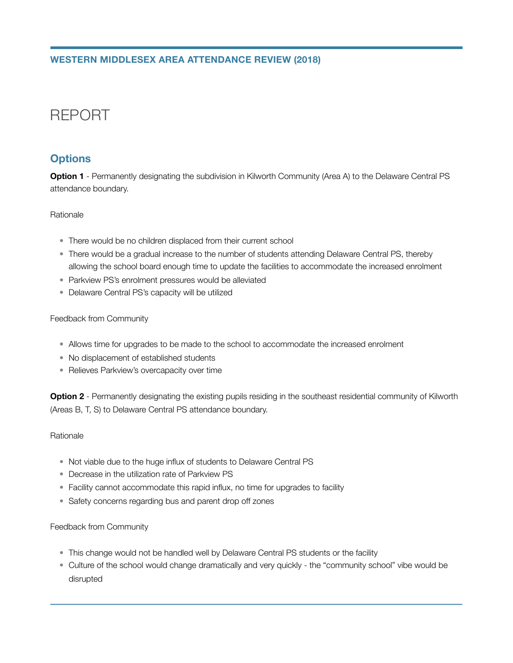# REPORT

# **Options**

**Option 1** - Permanently designating the subdivision in Kilworth Community (Area A) to the Delaware Central PS attendance boundary.

#### Rationale

- There would be no children displaced from their current school
- There would be a gradual increase to the number of students attending Delaware Central PS, thereby allowing the school board enough time to update the facilities to accommodate the increased enrolment
- Parkview PS's enrolment pressures would be alleviated
- Delaware Central PS's capacity will be utilized

#### Feedback from Community

- Allows time for upgrades to be made to the school to accommodate the increased enrolment
- No displacement of established students
- Relieves Parkview's overcapacity over time

**Option 2** - Permanently designating the existing pupils residing in the southeast residential community of Kilworth (Areas B, T, S) to Delaware Central PS attendance boundary.

#### Rationale

- Not viable due to the huge influx of students to Delaware Central PS
- Decrease in the utilization rate of Parkview PS
- Facility cannot accommodate this rapid influx, no time for upgrades to facility
- Safety concerns regarding bus and parent drop off zones

#### Feedback from Community

- This change would not be handled well by Delaware Central PS students or the facility
- Culture of the school would change dramatically and very quickly the "community school" vibe would be disrupted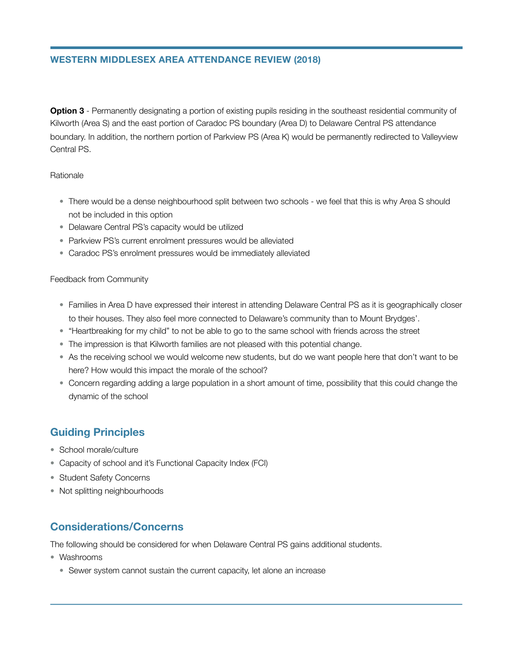**Option 3** - Permanently designating a portion of existing pupils residing in the southeast residential community of Kilworth (Area S) and the east portion of Caradoc PS boundary (Area D) to Delaware Central PS attendance boundary. In addition, the northern portion of Parkview PS (Area K) would be permanently redirected to Valleyview Central PS.

#### Rationale

- There would be a dense neighbourhood split between two schools we feel that this is why Area S should not be included in this option
- Delaware Central PS's capacity would be utilized
- Parkview PS's current enrolment pressures would be alleviated
- Caradoc PS's enrolment pressures would be immediately alleviated

#### Feedback from Community

- Families in Area D have expressed their interest in attending Delaware Central PS as it is geographically closer to their houses. They also feel more connected to Delaware's community than to Mount Brydges'.
- "Heartbreaking for my child" to not be able to go to the same school with friends across the street
- The impression is that Kilworth families are not pleased with this potential change.
- As the receiving school we would welcome new students, but do we want people here that don't want to be here? How would this impact the morale of the school?
- Concern regarding adding a large population in a short amount of time, possibility that this could change the dynamic of the school

# **Guiding Principles**

- School morale/culture
- Capacity of school and it's Functional Capacity Index (FCI)
- Student Safety Concerns
- Not splitting neighbourhoods

# **Considerations/Concerns**

The following should be considered for when Delaware Central PS gains additional students.

- Washrooms
	- Sewer system cannot sustain the current capacity, let alone an increase